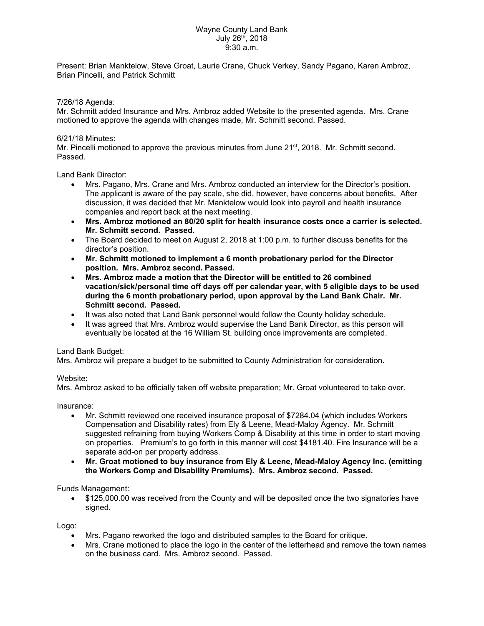## Wayne County Land Bank July 26th, 2018 9:30 a.m.

Present: Brian Manktelow, Steve Groat, Laurie Crane, Chuck Verkey, Sandy Pagano, Karen Ambroz, Brian Pincelli, and Patrick Schmitt

7/26/18 Agenda:

Mr. Schmitt added Insurance and Mrs. Ambroz added Website to the presented agenda. Mrs. Crane motioned to approve the agenda with changes made, Mr. Schmitt second. Passed.

## 6/21/18 Minutes:

Mr. Pincelli motioned to approve the previous minutes from June 21<sup>st</sup>, 2018. Mr. Schmitt second. Passed.

Land Bank Director:

- Mrs. Pagano, Mrs. Crane and Mrs. Ambroz conducted an interview for the Director's position. The applicant is aware of the pay scale, she did, however, have concerns about benefits. After discussion, it was decided that Mr. Manktelow would look into payroll and health insurance companies and report back at the next meeting.
- **Mrs. Ambroz motioned an 80/20 split for health insurance costs once a carrier is selected. Mr. Schmitt second. Passed.**
- The Board decided to meet on August 2, 2018 at 1:00 p.m. to further discuss benefits for the director's position.
- **Mr. Schmitt motioned to implement a 6 month probationary period for the Director position. Mrs. Ambroz second. Passed.**
- **Mrs. Ambroz made a motion that the Director will be entitled to 26 combined vacation/sick/personal time off days off per calendar year, with 5 eligible days to be used during the 6 month probationary period, upon approval by the Land Bank Chair. Mr. Schmitt second. Passed.**
- It was also noted that Land Bank personnel would follow the County holiday schedule.
- It was agreed that Mrs. Ambroz would supervise the Land Bank Director, as this person will eventually be located at the 16 William St. building once improvements are completed.

## Land Bank Budget:

Mrs. Ambroz will prepare a budget to be submitted to County Administration for consideration.

## Website:

Mrs. Ambroz asked to be officially taken off website preparation; Mr. Groat volunteered to take over.

Insurance:

- Mr. Schmitt reviewed one received insurance proposal of \$7284.04 (which includes Workers Compensation and Disability rates) from Ely & Leene, Mead-Maloy Agency. Mr. Schmitt suggested refraining from buying Workers Comp & Disability at this time in order to start moving on properties. Premium's to go forth in this manner will cost \$4181.40. Fire Insurance will be a separate add-on per property address.
- **Mr. Groat motioned to buy insurance from Ely & Leene, Mead-Maloy Agency Inc. (emitting the Workers Comp and Disability Premiums). Mrs. Ambroz second. Passed.**

Funds Management:

 \$125,000.00 was received from the County and will be deposited once the two signatories have signed.

Logo:

- Mrs. Pagano reworked the logo and distributed samples to the Board for critique.
- Mrs. Crane motioned to place the logo in the center of the letterhead and remove the town names on the business card. Mrs. Ambroz second. Passed.